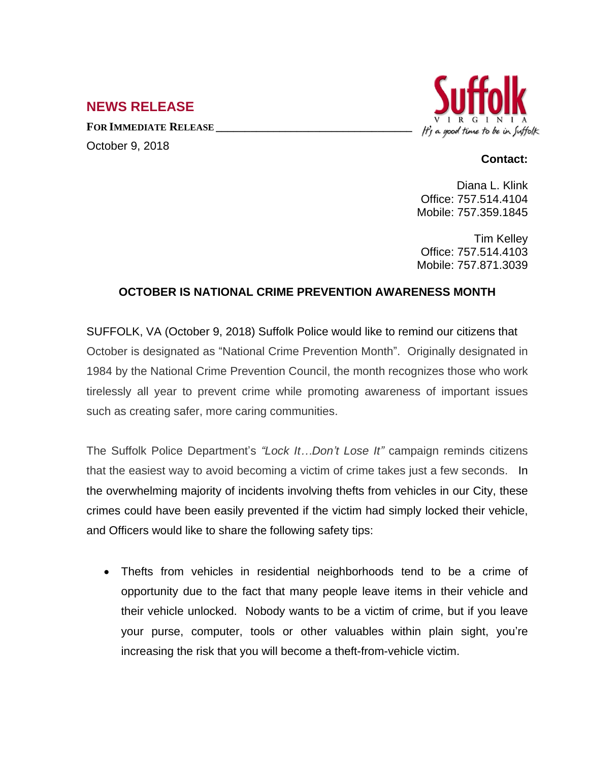## **NEWS RELEASE**

**FOR IMMEDIATE RELEASE \_\_\_\_\_\_\_\_\_\_\_\_\_\_\_\_\_\_\_\_\_\_\_\_\_\_\_\_\_\_\_\_\_\_** October 9, 2018



## **Contact:**

Diana L. Klink Office: 757.514.4104 Mobile: 757.359.1845

Tim Kelley Office: 757.514.4103 Mobile: 757.871.3039

## **OCTOBER IS NATIONAL CRIME PREVENTION AWARENESS MONTH**

SUFFOLK, VA (October 9, 2018) Suffolk Police would like to remind our citizens that October is designated as "National Crime Prevention Month". Originally designated in 1984 by the National Crime Prevention Council, the month recognizes those who work tirelessly all year to prevent crime while promoting awareness of important issues such as creating safer, more caring communities.

The Suffolk Police Department's *"Lock It…Don't Lose It"* campaign reminds citizens that the easiest way to avoid becoming a victim of crime takes just a few seconds. In the overwhelming majority of incidents involving thefts from vehicles in our City, these crimes could have been easily prevented if the victim had simply locked their vehicle, and Officers would like to share the following safety tips:

 Thefts from vehicles in residential neighborhoods tend to be a crime of opportunity due to the fact that many people leave items in their vehicle and their vehicle unlocked. Nobody wants to be a victim of crime, but if you leave your purse, computer, tools or other valuables within plain sight, you're increasing the risk that you will become a theft-from-vehicle victim.